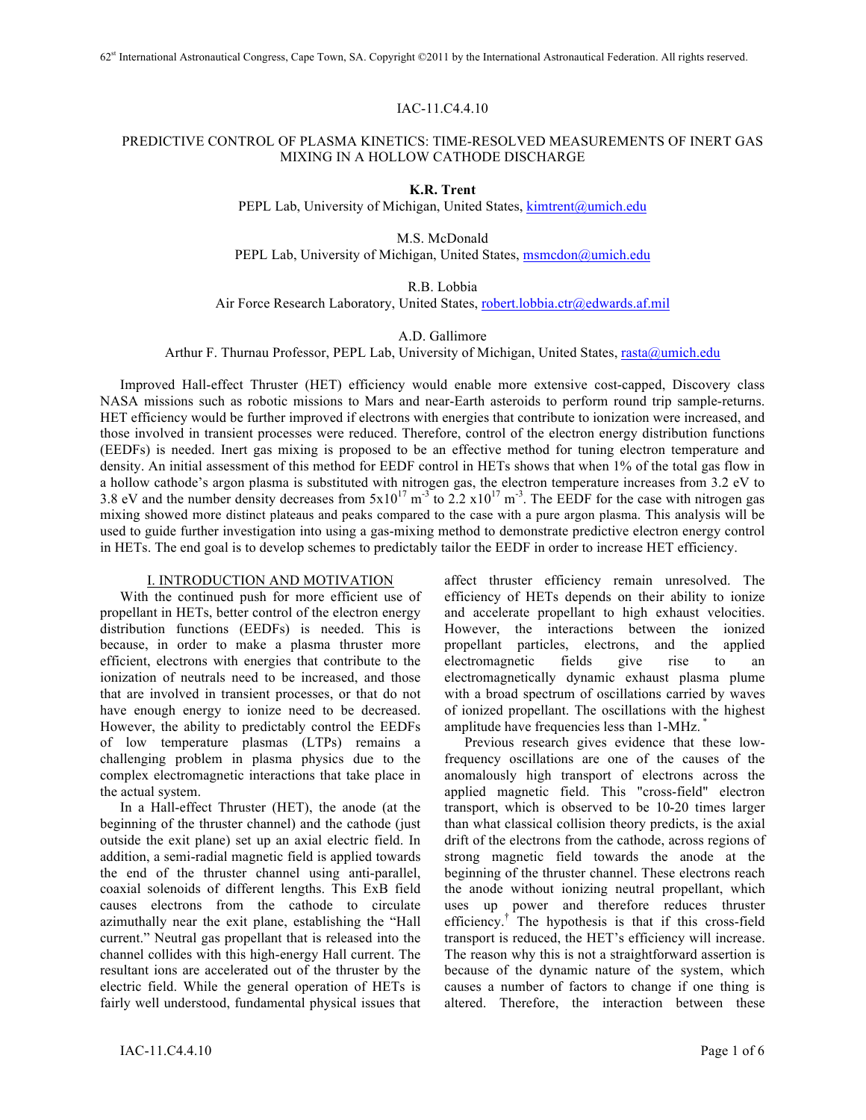### IAC-11.C4.4.10

# PREDICTIVE CONTROL OF PLASMA KINETICS: TIME-RESOLVED MEASUREMENTS OF INERT GAS MIXING IN A HOLLOW CATHODE DISCHARGE

**K.R. Trent**

PEPL Lab, University of Michigan, United States, kimtrent@umich.edu

M.S. McDonald PEPL Lab, University of Michigan, United States, msmcdon@umich.edu

R.B. Lobbia

Air Force Research Laboratory, United States, robert.lobbia.ctr@edwards.af.mil

A.D. Gallimore

Arthur F. Thurnau Professor, PEPL Lab, University of Michigan, United States, rasta@umich.edu

Improved Hall-effect Thruster (HET) efficiency would enable more extensive cost-capped, Discovery class NASA missions such as robotic missions to Mars and near-Earth asteroids to perform round trip sample-returns. HET efficiency would be further improved if electrons with energies that contribute to ionization were increased, and those involved in transient processes were reduced. Therefore, control of the electron energy distribution functions (EEDFs) is needed. Inert gas mixing is proposed to be an effective method for tuning electron temperature and density. An initial assessment of this method for EEDF control in HETs shows that when 1% of the total gas flow in a hollow cathode's argon plasma is substituted with nitrogen gas, the electron temperature increases from 3.2 eV to 3.8 eV and the number density decreases from  $5x10^{17}$  m<sup>-3</sup> to 2.2  $x10^{17}$  m<sup>-3</sup>. The EEDF for the case with nitrogen gas mixing showed more distinct plateaus and peaks compared to the case with a pure argon plasma. This analysis will be used to guide further investigation into using a gas-mixing method to demonstrate predictive electron energy control in HETs. The end goal is to develop schemes to predictably tailor the EEDF in order to increase HET efficiency.

### I. INTRODUCTION AND MOTIVATION

With the continued push for more efficient use of propellant in HETs, better control of the electron energy distribution functions (EEDFs) is needed. This is because, in order to make a plasma thruster more efficient, electrons with energies that contribute to the ionization of neutrals need to be increased, and those that are involved in transient processes, or that do not have enough energy to ionize need to be decreased. However, the ability to predictably control the EEDFs of low temperature plasmas (LTPs) remains a challenging problem in plasma physics due to the complex electromagnetic interactions that take place in the actual system.

In a Hall-effect Thruster (HET), the anode (at the beginning of the thruster channel) and the cathode (just outside the exit plane) set up an axial electric field. In addition, a semi-radial magnetic field is applied towards the end of the thruster channel using anti-parallel, coaxial solenoids of different lengths. This ExB field causes electrons from the cathode to circulate azimuthally near the exit plane, establishing the "Hall current." Neutral gas propellant that is released into the channel collides with this high-energy Hall current. The resultant ions are accelerated out of the thruster by the electric field. While the general operation of HETs is fairly well understood, fundamental physical issues that

affect thruster efficiency remain unresolved. The efficiency of HETs depends on their ability to ionize and accelerate propellant to high exhaust velocities. However, the interactions between the ionized propellant particles, electrons, and the applied electromagnetic fields give rise to an electromagnetically dynamic exhaust plasma plume with a broad spectrum of oscillations carried by waves of ionized propellant. The oscillations with the highest amplitude have frequencies less than 1-MHz. \*

Previous research gives evidence that these lowfrequency oscillations are one of the causes of the anomalously high transport of electrons across the applied magnetic field. This "cross-field" electron transport, which is observed to be 10-20 times larger than what classical collision theory predicts, is the axial drift of the electrons from the cathode, across regions of strong magnetic field towards the anode at the beginning of the thruster channel. These electrons reach the anode without ionizing neutral propellant, which uses up power and therefore reduces thruster efficiency.† The hypothesis is that if this cross-field transport is reduced, the HET's efficiency will increase. The reason why this is not a straightforward assertion is because of the dynamic nature of the system, which causes a number of factors to change if one thing is altered. Therefore, the interaction between these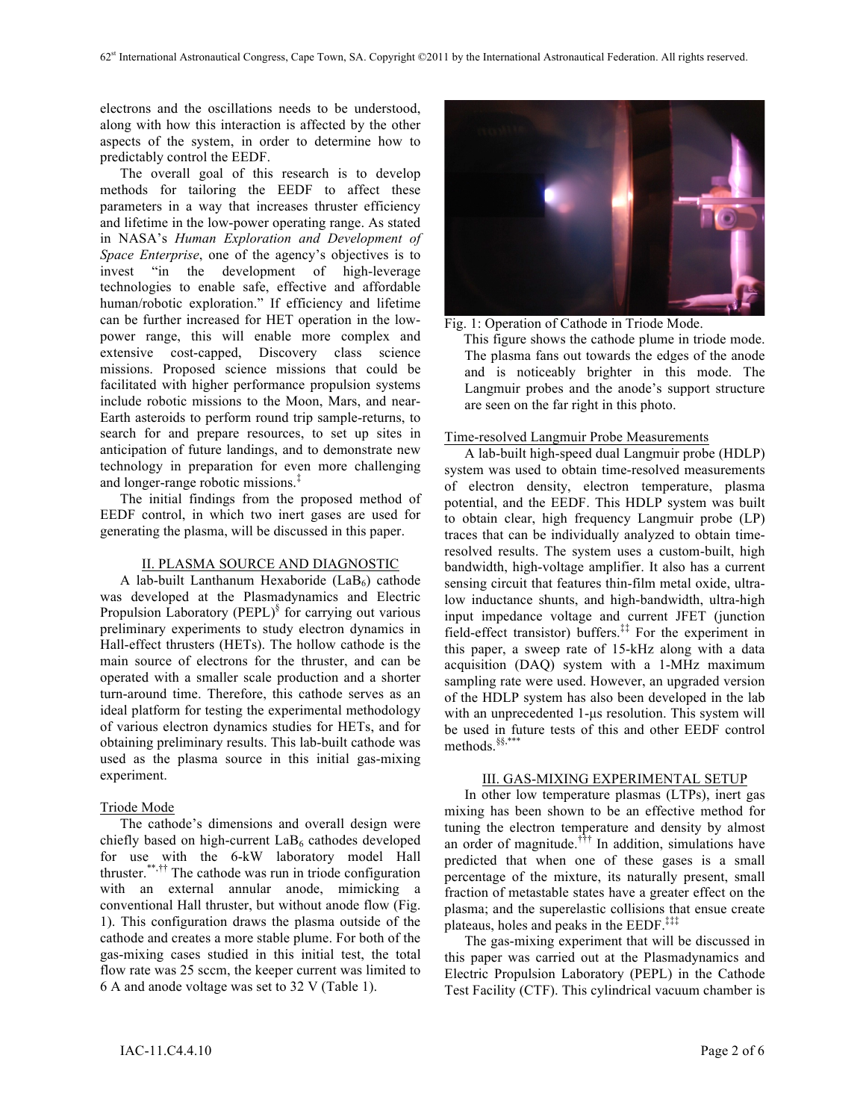electrons and the oscillations needs to be understood, along with how this interaction is affected by the other aspects of the system, in order to determine how to predictably control the EEDF.

The overall goal of this research is to develop methods for tailoring the EEDF to affect these parameters in a way that increases thruster efficiency and lifetime in the low-power operating range. As stated in NASA's *Human Exploration and Development of Space Enterprise*, one of the agency's objectives is to invest "in the development of high-leverage technologies to enable safe, effective and affordable human/robotic exploration." If efficiency and lifetime can be further increased for HET operation in the lowpower range, this will enable more complex and extensive cost-capped, Discovery class science missions. Proposed science missions that could be facilitated with higher performance propulsion systems include robotic missions to the Moon, Mars, and near-Earth asteroids to perform round trip sample-returns, to search for and prepare resources, to set up sites in anticipation of future landings, and to demonstrate new technology in preparation for even more challenging and longer-range robotic missions.‡

The initial findings from the proposed method of EEDF control, in which two inert gases are used for generating the plasma, will be discussed in this paper.

#### II. PLASMA SOURCE AND DIAGNOSTIC

A lab-built Lanthanum Hexaboride  $(LaB_6)$  cathode was developed at the Plasmadynamics and Electric Propulsion Laboratory (PEPL) $\frac{8}{3}$  for carrying out various preliminary experiments to study electron dynamics in Hall-effect thrusters (HETs). The hollow cathode is the main source of electrons for the thruster, and can be operated with a smaller scale production and a shorter turn-around time. Therefore, this cathode serves as an ideal platform for testing the experimental methodology of various electron dynamics studies for HETs, and for obtaining preliminary results. This lab-built cathode was used as the plasma source in this initial gas-mixing experiment.

#### Triode Mode

The cathode's dimensions and overall design were chiefly based on high-current  $LaB<sub>6</sub>$  cathodes developed for use with the 6-kW laboratory model Hall thruster. \*\*,†† The cathode was run in triode configuration with an external annular anode, mimicking a conventional Hall thruster, but without anode flow (Fig. 1). This configuration draws the plasma outside of the cathode and creates a more stable plume. For both of the gas-mixing cases studied in this initial test, the total flow rate was 25 sccm, the keeper current was limited to 6 A and anode voltage was set to 32 V (Table 1).



Fig. 1: Operation of Cathode in Triode Mode.

This figure shows the cathode plume in triode mode. The plasma fans out towards the edges of the anode and is noticeably brighter in this mode. The Langmuir probes and the anode's support structure are seen on the far right in this photo.

### Time-resolved Langmuir Probe Measurements

A lab-built high-speed dual Langmuir probe (HDLP) system was used to obtain time-resolved measurements of electron density, electron temperature, plasma potential, and the EEDF. This HDLP system was built to obtain clear, high frequency Langmuir probe (LP) traces that can be individually analyzed to obtain timeresolved results. The system uses a custom-built, high bandwidth, high-voltage amplifier. It also has a current sensing circuit that features thin-film metal oxide, ultralow inductance shunts, and high-bandwidth, ultra-high input impedance voltage and current JFET (junction field-effect transistor) buffers.<sup>‡‡</sup> For the experiment in this paper, a sweep rate of 15-kHz along with a data acquisition (DAQ) system with a 1-MHz maximum sampling rate were used. However, an upgraded version of the HDLP system has also been developed in the lab with an unprecedented 1-us resolution. This system will be used in future tests of this and other EEDF control methods. §§,\*\*\*

#### III. GAS-MIXING EXPERIMENTAL SETUP

In other low temperature plasmas (LTPs), inert gas mixing has been shown to be an effective method for tuning the electron temperature and density by almost an order of magnitude.<sup> $\dagger$ ††</sup> In addition, simulations have predicted that when one of these gases is a small percentage of the mixture, its naturally present, small fraction of metastable states have a greater effect on the plasma; and the superelastic collisions that ensue create plateaus, holes and peaks in the EEDF.<sup>‡‡‡</sup>

The gas-mixing experiment that will be discussed in this paper was carried out at the Plasmadynamics and Electric Propulsion Laboratory (PEPL) in the Cathode Test Facility (CTF). This cylindrical vacuum chamber is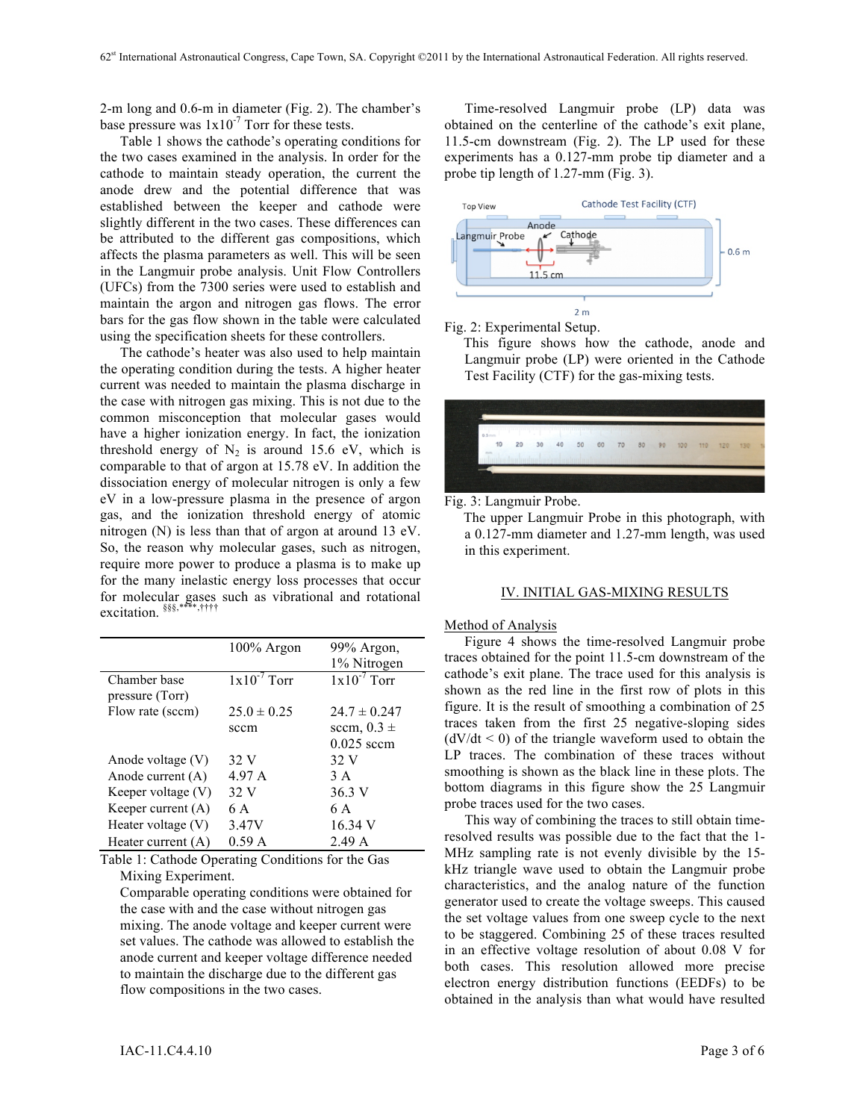2-m long and 0.6-m in diameter (Fig. 2). The chamber's base pressure was  $1x10^{-7}$  Torr for these tests.

Table 1 shows the cathode's operating conditions for the two cases examined in the analysis. In order for the cathode to maintain steady operation, the current the anode drew and the potential difference that was established between the keeper and cathode were slightly different in the two cases. These differences can be attributed to the different gas compositions, which affects the plasma parameters as well. This will be seen in the Langmuir probe analysis. Unit Flow Controllers (UFCs) from the 7300 series were used to establish and maintain the argon and nitrogen gas flows. The error bars for the gas flow shown in the table were calculated using the specification sheets for these controllers.

The cathode's heater was also used to help maintain the operating condition during the tests. A higher heater current was needed to maintain the plasma discharge in the case with nitrogen gas mixing. This is not due to the common misconception that molecular gases would have a higher ionization energy. In fact, the ionization threshold energy of  $N_2$  is around 15.6 eV, which is comparable to that of argon at 15.78 eV. In addition the dissociation energy of molecular nitrogen is only a few eV in a low-pressure plasma in the presence of argon gas, and the ionization threshold energy of atomic nitrogen (N) is less than that of argon at around 13 eV. So, the reason why molecular gases, such as nitrogen, require more power to produce a plasma is to make up for the many inelastic energy loss processes that occur for molecular gases such as vibrational and rotational excitation. §§§,\*\*\*\*,††††

|                      | 100% Argon       | 99% Argon,       |
|----------------------|------------------|------------------|
|                      |                  | 1% Nitrogen      |
| Chamber base         | $1x10^{-7}$ Torr | $1x10^{-7}$ Torr |
| pressure (Torr)      |                  |                  |
| Flow rate (sccm)     | $25.0 \pm 0.25$  | $24.7 \pm 0.247$ |
|                      | sccm             | sccm, $0.3 \pm$  |
|                      |                  | $0.025$ sccm     |
| Anode voltage (V)    | 32 V             | 32 V             |
| Anode current (A)    | 4.97 A           | 3 A              |
| Keeper voltage (V)   | 32 V             | 36.3 V           |
| Keeper current $(A)$ | 6 A              | 6 A              |
| Heater voltage $(V)$ | 3.47V            | 16.34 V          |
| Heater current $(A)$ | 0.59A            | 2.49 A           |

Table 1: Cathode Operating Conditions for the Gas Mixing Experiment.

Comparable operating conditions were obtained for the case with and the case without nitrogen gas mixing. The anode voltage and keeper current were set values. The cathode was allowed to establish the anode current and keeper voltage difference needed to maintain the discharge due to the different gas flow compositions in the two cases.

Time-resolved Langmuir probe (LP) data was obtained on the centerline of the cathode's exit plane, 11.5-cm downstream (Fig. 2). The LP used for these experiments has a 0.127-mm probe tip diameter and a probe tip length of 1.27-mm (Fig. 3).



Fig. 2: Experimental Setup.

This figure shows how the cathode, anode and Langmuir probe (LP) were oriented in the Cathode Test Facility (CTF) for the gas-mixing tests.



Fig. 3: Langmuir Probe.

The upper Langmuir Probe in this photograph, with a 0.127-mm diameter and 1.27-mm length, was used in this experiment.

### IV. INITIAL GAS-MIXING RESULTS

#### Method of Analysis

Figure 4 shows the time-resolved Langmuir probe traces obtained for the point 11.5-cm downstream of the cathode's exit plane. The trace used for this analysis is shown as the red line in the first row of plots in this figure. It is the result of smoothing a combination of 25 traces taken from the first 25 negative-sloping sides  $(dV/dt < 0)$  of the triangle waveform used to obtain the LP traces. The combination of these traces without smoothing is shown as the black line in these plots. The bottom diagrams in this figure show the 25 Langmuir probe traces used for the two cases.

This way of combining the traces to still obtain timeresolved results was possible due to the fact that the 1- MHz sampling rate is not evenly divisible by the 15 kHz triangle wave used to obtain the Langmuir probe characteristics, and the analog nature of the function generator used to create the voltage sweeps. This caused the set voltage values from one sweep cycle to the next to be staggered. Combining 25 of these traces resulted in an effective voltage resolution of about 0.08 V for both cases. This resolution allowed more precise electron energy distribution functions (EEDFs) to be obtained in the analysis than what would have resulted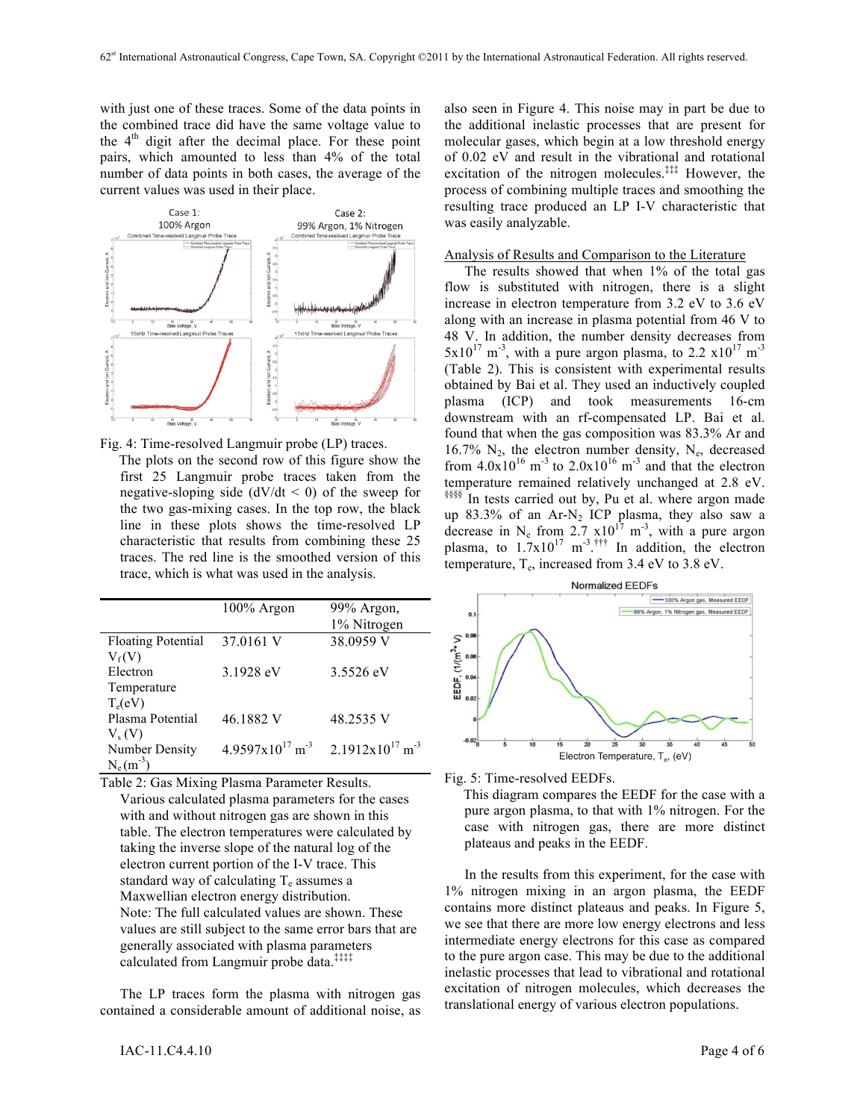with just one of these traces. Some of the data points in the combined trace did have the same voltage value to the  $4<sup>th</sup>$  digit after the decimal place. For these point pairs, which amounted to less than 4% of the total number of data points in both cases, the average of the current values was used in their place.





The plots on the second row of this figure show the first 25 Langmuir probe traces taken from the negative-sloping side  $(dV/dt < 0)$  of the sweep for the two gas-mixing cases. In the top row, the black line in these plots shows the time-resolved LP characteristic that results from combining these 25 traces. The red line is the smoothed version of this trace, which is what was used in the analysis.

|                           | 100% Argon                              | 99% Argon,                              |
|---------------------------|-----------------------------------------|-----------------------------------------|
|                           |                                         | 1% Nitrogen                             |
| <b>Floating Potential</b> | 37.0161 V                               | 38.0959 V                               |
| $V_f(V)$                  |                                         |                                         |
| Electron                  | 3.1928 eV                               | 3.5526 eV                               |
| Temperature               |                                         |                                         |
| $T_e(eV)$                 |                                         |                                         |
| Plasma Potential          | 46.1882 V                               | 48.2535 V                               |
| $V_s(V)$                  |                                         |                                         |
| <b>Number Density</b>     | $4.9597 \times 10^{17}$ m <sup>-3</sup> | $2.1912 \times 10^{17}$ m <sup>-3</sup> |
| $N_e(m^{-3})$             |                                         |                                         |

Table 2: Gas Mixing Plasma Parameter Results. Various calculated plasma parameters for the cases with and without nitrogen gas are shown in this table. The electron temperatures were calculated by taking the inverse slope of the natural log of the electron current portion of the I-V trace. This standard way of calculating  $T_e$  assumes a Maxwellian electron energy distribution. Note: The full calculated values are shown. These values are still subject to the same error bars that are generally associated with plasma parameters calculated from Langmuir probe data.‡‡‡‡

The LP traces form the plasma with nitrogen gas contained a considerable amount of additional noise, as also seen in Figure 4. This noise may in part be due to the additional inelastic processes that are present for molecular gases, which begin at a low threshold energy of 0.02 eV and result in the vibrational and rotational excitation of the nitrogen molecules.<sup>‡‡‡</sup> However, the process of combining multiple traces and smoothing the resulting trace produced an LP I-V characteristic that was easily analyzable.

#### Analysis of Results and Comparison to the Literature

The results showed that when 1% of the total gas flow is substituted with nitrogen, there is a slight increase in electron temperature from 3.2 eV to 3.6 eV along with an increase in plasma potential from 46 V to 48 V. In addition, the number density decreases from  $5x10^{17}$  m<sup>-3</sup>, with a pure argon plasma, to 2.2  $x10^{17}$  m<sup>-3</sup> (Table 2). This is consistent with experimental results obtained by Bai et al. They used an inductively coupled plasma (ICP) and took measurements 16-cm downstream with an rf-compensated LP. Bai et al. found that when the gas composition was 83.3% Ar and 16.7%  $N_2$ , the electron number density,  $N_e$ , decreased from  $4.0x10^{16}$  m<sup>-3</sup> to  $2.0x10^{16}$  m<sup>-3</sup> and that the electron temperature remained relatively unchanged at 2.8 eV.<br><sup>§§§§</sup> In tests carried out by, Pu et al. where argon made up  $83.3\%$  of an Ar-N<sub>2</sub> ICP plasma, they also saw a decrease in N<sub>e</sub> from 2.7  $\times 10^{17}$  m<sup>-3</sup>, with a pure argon plasma, to  $1.7 \times 10^{17}$  m<sup>-3 +++</sup> In addition, the electron temperature,  $T_e$ , increased from 3.4 eV to 3.8 eV.



Fig. 5: Time-resolved EEDFs.

This diagram compares the EEDF for the case with a pure argon plasma, to that with 1% nitrogen. For the case with nitrogen gas, there are more distinct plateaus and peaks in the EEDF.

In the results from this experiment, for the case with 1% nitrogen mixing in an argon plasma, the EEDF contains more distinct plateaus and peaks. In Figure 5, we see that there are more low energy electrons and less intermediate energy electrons for this case as compared to the pure argon case. This may be due to the additional inelastic processes that lead to vibrational and rotational excitation of nitrogen molecules, which decreases the translational energy of various electron populations.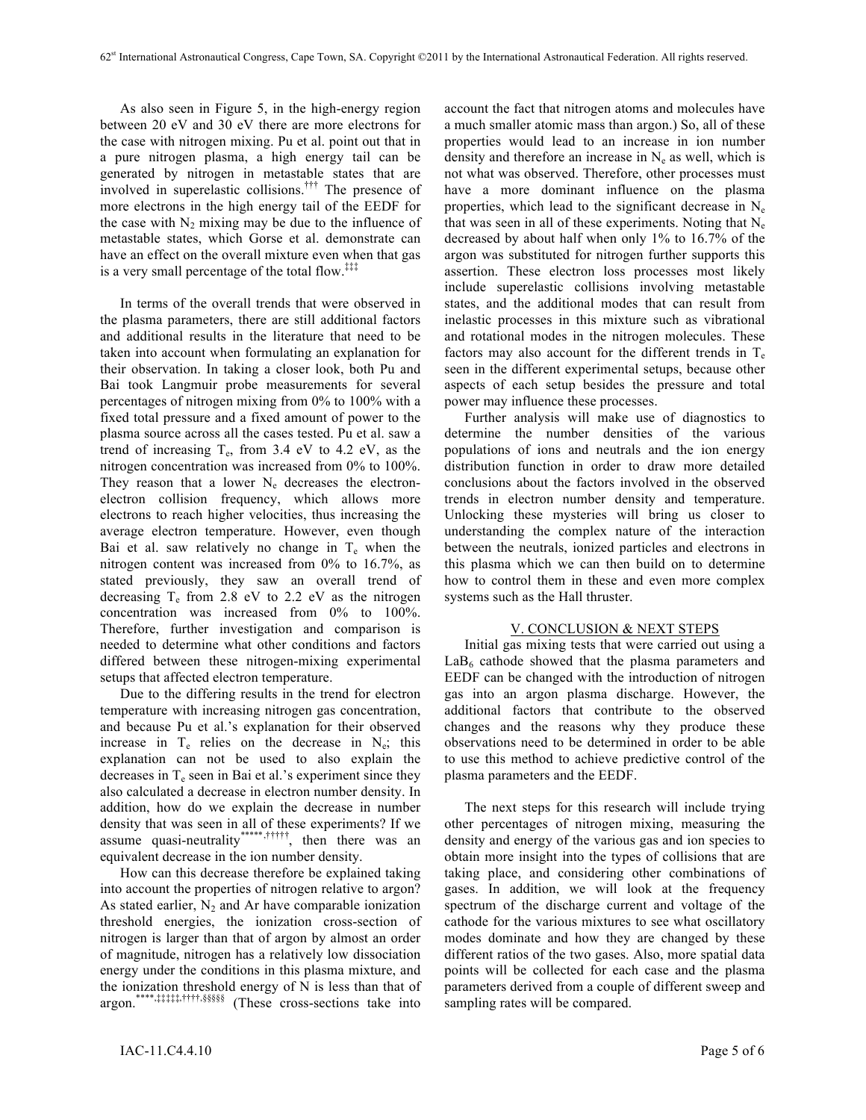As also seen in Figure 5, in the high-energy region between 20 eV and 30 eV there are more electrons for the case with nitrogen mixing. Pu et al. point out that in a pure nitrogen plasma, a high energy tail can be generated by nitrogen in metastable states that are involved in superelastic collisions.††† The presence of more electrons in the high energy tail of the EEDF for the case with  $N_2$  mixing may be due to the influence of metastable states, which Gorse et al. demonstrate can have an effect on the overall mixture even when that gas is a very small percentage of the total flow.<sup>‡‡‡</sup>

In terms of the overall trends that were observed in the plasma parameters, there are still additional factors and additional results in the literature that need to be taken into account when formulating an explanation for their observation. In taking a closer look, both Pu and Bai took Langmuir probe measurements for several percentages of nitrogen mixing from 0% to 100% with a fixed total pressure and a fixed amount of power to the plasma source across all the cases tested. Pu et al. saw a trend of increasing  $T_e$ , from 3.4 eV to 4.2 eV, as the nitrogen concentration was increased from 0% to 100%. They reason that a lower  $N_e$  decreases the electronelectron collision frequency, which allows more electrons to reach higher velocities, thus increasing the average electron temperature. However, even though Bai et al. saw relatively no change in  $T_e$  when the nitrogen content was increased from 0% to 16.7%, as stated previously, they saw an overall trend of decreasing  $T_e$  from 2.8 eV to 2.2 eV as the nitrogen concentration was increased from 0% to 100%. Therefore, further investigation and comparison is needed to determine what other conditions and factors differed between these nitrogen-mixing experimental setups that affected electron temperature.

Due to the differing results in the trend for electron temperature with increasing nitrogen gas concentration, and because Pu et al.'s explanation for their observed increase in  $T_e$  relies on the decrease in  $N_e$ ; this explanation can not be used to also explain the decreases in  $T_e$  seen in Bai et al.'s experiment since they also calculated a decrease in electron number density. In addition, how do we explain the decrease in number density that was seen in all of these experiments? If we assume quasi-neutrality<sup>\*\*\*\*\*</sup>,<sup>†††††</sup>, then there was an equivalent decrease in the ion number density.

How can this decrease therefore be explained taking into account the properties of nitrogen relative to argon? As stated earlier,  $N_2$  and Ar have comparable ionization threshold energies, the ionization cross-section of nitrogen is larger than that of argon by almost an order of magnitude, nitrogen has a relatively low dissociation energy under the conditions in this plasma mixture, and the ionization threshold energy of N is less than that of argon.\*\*\*\*,‡‡‡‡‡,††††,§§§§§ (These cross-sections take into

account the fact that nitrogen atoms and molecules have a much smaller atomic mass than argon.) So, all of these properties would lead to an increase in ion number density and therefore an increase in  $N_e$  as well, which is not what was observed. Therefore, other processes must have a more dominant influence on the plasma properties, which lead to the significant decrease in  $N_e$ that was seen in all of these experiments. Noting that  $N_e$ decreased by about half when only 1% to 16.7% of the argon was substituted for nitrogen further supports this assertion. These electron loss processes most likely include superelastic collisions involving metastable states, and the additional modes that can result from inelastic processes in this mixture such as vibrational and rotational modes in the nitrogen molecules. These factors may also account for the different trends in  $T_e$ seen in the different experimental setups, because other aspects of each setup besides the pressure and total power may influence these processes.

Further analysis will make use of diagnostics to determine the number densities of the various populations of ions and neutrals and the ion energy distribution function in order to draw more detailed conclusions about the factors involved in the observed trends in electron number density and temperature. Unlocking these mysteries will bring us closer to understanding the complex nature of the interaction between the neutrals, ionized particles and electrons in this plasma which we can then build on to determine how to control them in these and even more complex systems such as the Hall thruster.

## V. CONCLUSION & NEXT STEPS

Initial gas mixing tests that were carried out using a  $LaB<sub>6</sub>$  cathode showed that the plasma parameters and EEDF can be changed with the introduction of nitrogen gas into an argon plasma discharge. However, the additional factors that contribute to the observed changes and the reasons why they produce these observations need to be determined in order to be able to use this method to achieve predictive control of the plasma parameters and the EEDF.

The next steps for this research will include trying other percentages of nitrogen mixing, measuring the density and energy of the various gas and ion species to obtain more insight into the types of collisions that are taking place, and considering other combinations of gases. In addition, we will look at the frequency spectrum of the discharge current and voltage of the cathode for the various mixtures to see what oscillatory modes dominate and how they are changed by these different ratios of the two gases. Also, more spatial data points will be collected for each case and the plasma parameters derived from a couple of different sweep and sampling rates will be compared.